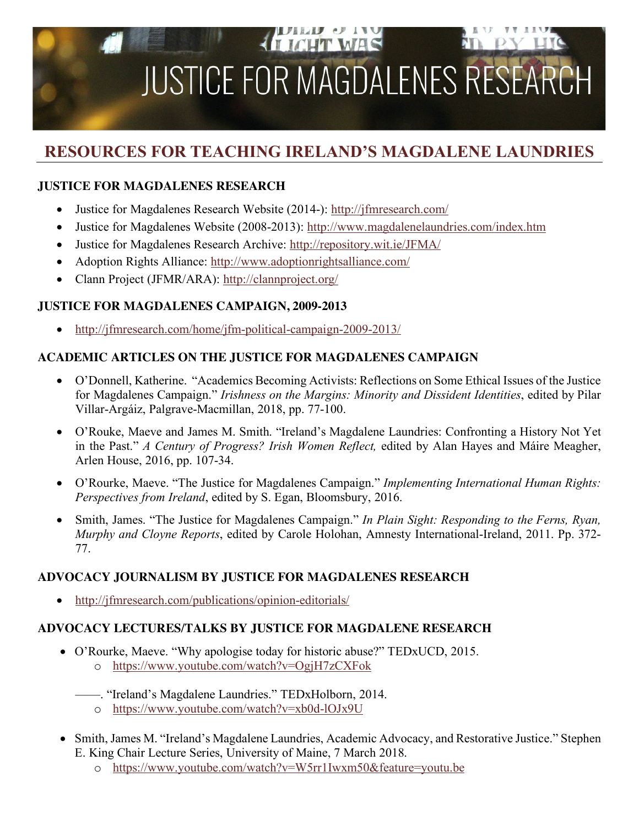# **A TIGHT WAS JUSTICE FOR MAGDALENES RESEA**

# **RESOURCES FOR TEACHING IRELAND'S MAGDALENE LAUNDRIES**

# **JUSTICE FOR MAGDALENES RESEARCH**

- Justice for Magdalenes Research Website (2014-): http://jfmresearch.com/
- Justice for Magdalenes Website (2008-2013): http://www.magdalenelaundries.com/index.htm
- Justice for Magdalenes Research Archive: http://repository.wit.ie/JFMA/
- Adoption Rights Alliance: http://www.adoptionrightsalliance.com/
- Clann Project (JFMR/ARA): http://clannproject.org/

# **JUSTICE FOR MAGDALENES CAMPAIGN, 2009-2013**

• http://jfmresearch.com/home/jfm-political-campaign-2009-2013/

# **ACADEMIC ARTICLES ON THE JUSTICE FOR MAGDALENES CAMPAIGN**

- O'Donnell, Katherine. "Academics Becoming Activists: Reflections on Some Ethical Issues of the Justice for Magdalenes Campaign." *Irishness on the Margins: Minority and Dissident Identities*, edited by Pilar Villar-Argáiz, Palgrave-Macmillan, 2018, pp. 77-100.
- O'Rouke, Maeve and James M. Smith. "Ireland's Magdalene Laundries: Confronting a History Not Yet in the Past." *A Century of Progress? Irish Women Reflect,* edited by Alan Hayes and Máire Meagher, Arlen House, 2016, pp. 107-34.
- O'Rourke, Maeve. "The Justice for Magdalenes Campaign." *Implementing International Human Rights: Perspectives from Ireland*, edited by S. Egan, Bloomsbury, 2016.
- Smith, James. "The Justice for Magdalenes Campaign." *In Plain Sight: Responding to the Ferns, Ryan, Murphy and Cloyne Reports*, edited by Carole Holohan, Amnesty International-Ireland, 2011. Pp. 372- 77.

# **ADVOCACY JOURNALISM BY JUSTICE FOR MAGDALENES RESEARCH**

• http://jfmresearch.com/publications/opinion-editorials/

# **ADVOCACY LECTURES/TALKS BY JUSTICE FOR MAGDALENE RESEARCH**

- O'Rourke, Maeve. "Why apologise today for historic abuse?" TEDxUCD, 2015. o https://www.youtube.com/watch?v=OgjH7zCXFok
	- ——. "Ireland's Magdalene Laundries." TEDxHolborn, 2014.
		- o https://www.youtube.com/watch?v=xb0d-lOJx9U
- Smith, James M. "Ireland's Magdalene Laundries, Academic Advocacy, and Restorative Justice." Stephen E. King Chair Lecture Series, University of Maine, 7 March 2018.
	- o https://www.youtube.com/watch?v=W5rr1Iwxm50&feature=youtu.be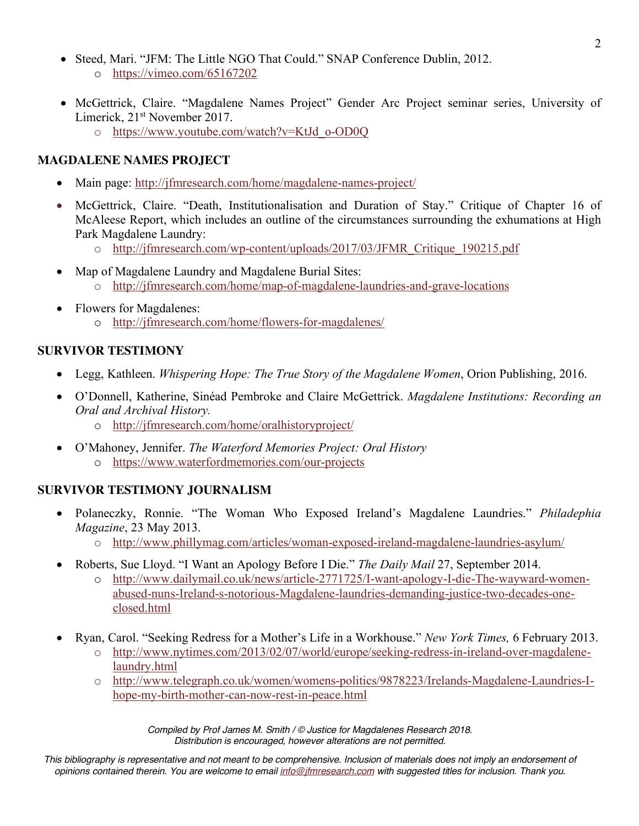- Steed, Mari. "JFM: The Little NGO That Could." SNAP Conference Dublin, 2012.
	- o https://vimeo.com/65167202
- McGettrick, Claire. "Magdalene Names Project" Gender Arc Project seminar series, University of Limerick, 21st November 2017.
	- o https://www.youtube.com/watch?v=KtJd\_o-OD0Q

#### **MAGDALENE NAMES PROJECT**

- Main page: http://jfmresearch.com/home/magdalene-names-project/
- McGettrick, Claire. "Death, Institutionalisation and Duration of Stay." Critique of Chapter 16 of McAleese Report, which includes an outline of the circumstances surrounding the exhumations at High Park Magdalene Laundry:
	- o http://jfmresearch.com/wp-content/uploads/2017/03/JFMR\_Critique\_190215.pdf
- Map of Magdalene Laundry and Magdalene Burial Sites: o http://jfmresearch.com/home/map-of-magdalene-laundries-and-grave-locations
- Flowers for Magdalenes: o http://jfmresearch.com/home/flowers-for-magdalenes/

#### **SURVIVOR TESTIMONY**

- Legg, Kathleen. *Whispering Hope: The True Story of the Magdalene Women*, Orion Publishing, 2016.
- O'Donnell, Katherine, Sinéad Pembroke and Claire McGettrick. *Magdalene Institutions: Recording an Oral and Archival History.* 
	- o http://jfmresearch.com/home/oralhistoryproject/
- O'Mahoney, Jennifer. *The Waterford Memories Project: Oral History*
	- o https://www.waterfordmemories.com/our-projects

# **SURVIVOR TESTIMONY JOURNALISM**

- Polaneczky, Ronnie. "The Woman Who Exposed Ireland's Magdalene Laundries." *Philadephia Magazine*, 23 May 2013.
	- o http://www.phillymag.com/articles/woman-exposed-ireland-magdalene-laundries-asylum/
- Roberts, Sue Lloyd. "I Want an Apology Before I Die." *The Daily Mail* 27, September 2014.
	- o http://www.dailymail.co.uk/news/article-2771725/I-want-apology-I-die-The-wayward-womenabused-nuns-Ireland-s-notorious-Magdalene-laundries-demanding-justice-two-decades-oneclosed.html
- Ryan, Carol. "Seeking Redress for a Mother's Life in a Workhouse." *New York Times,* 6 February 2013.
	- o http://www.nytimes.com/2013/02/07/world/europe/seeking-redress-in-ireland-over-magdalenelaundry.html
	- o http://www.telegraph.co.uk/women/womens-politics/9878223/Irelands-Magdalene-Laundries-Ihope-my-birth-mother-can-now-rest-in-peace.html

*Compiled by Prof James M. Smith / © Justice for Magdalenes Research 2018. Distribution is encouraged, however alterations are not permitted.*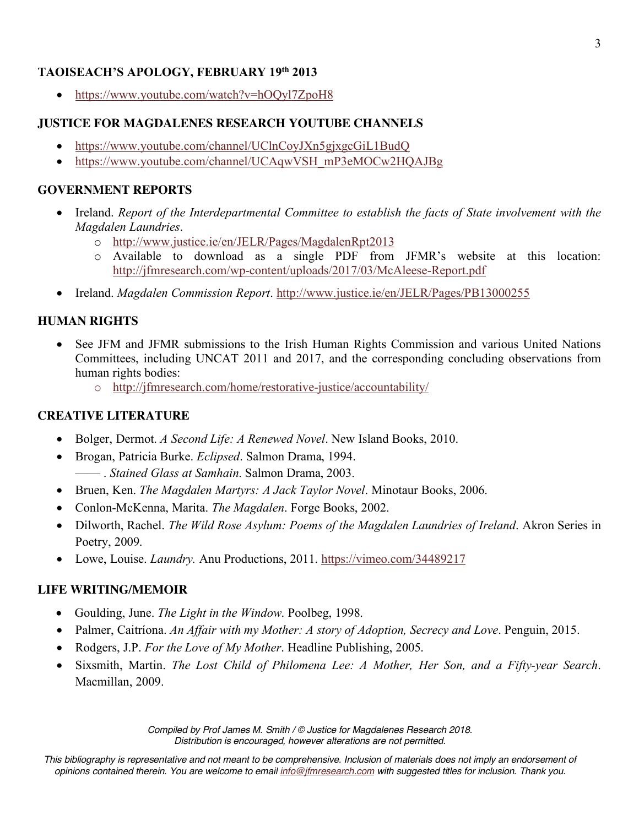#### **TAOISEACH'S APOLOGY, FEBRUARY 19th 2013**

• https://www.youtube.com/watch?v=hOQyl7ZpoH8

#### **JUSTICE FOR MAGDALENES RESEARCH YOUTUBE CHANNELS**

- https://www.youtube.com/channel/UClnCoyJXn5gjxgcGiL1BudQ
- https://www.youtube.com/channel/UCAqwVSH\_mP3eMOCw2HQAJBg

#### **GOVERNMENT REPORTS**

- Ireland. *Report of the Interdepartmental Committee to establish the facts of State involvement with the Magdalen Laundries*.
	- o http://www.justice.ie/en/JELR/Pages/MagdalenRpt2013
	- o Available to download as a single PDF from JFMR's website at this location: http://jfmresearch.com/wp-content/uploads/2017/03/McAleese-Report.pdf
- Ireland. *Magdalen Commission Report*. http://www.justice.ie/en/JELR/Pages/PB13000255

#### **HUMAN RIGHTS**

- See JFM and JFMR submissions to the Irish Human Rights Commission and various United Nations Committees, including UNCAT 2011 and 2017, and the corresponding concluding observations from human rights bodies:
	- o http://jfmresearch.com/home/restorative-justice/accountability/

#### **CREATIVE LITERATURE**

- Bolger, Dermot. *A Second Life: A Renewed Novel*. New Island Books, 2010.
- Brogan, Patricia Burke. *Eclipsed*. Salmon Drama, 1994. —— . *Stained Glass at Samhain*. Salmon Drama, 2003.
- Bruen, Ken. *The Magdalen Martyrs: A Jack Taylor Novel*. Minotaur Books, 2006.
- Conlon-McKenna, Marita. *The Magdalen*. Forge Books, 2002.
- Dilworth, Rachel. *The Wild Rose Asylum: Poems of the Magdalen Laundries of Ireland*. Akron Series in Poetry, 2009.
- Lowe, Louise. *Laundry*. Anu Productions, 2011. https://vimeo.com/34489217

#### **LIFE WRITING/MEMOIR**

- Goulding, June. *The Light in the Window*. Poolbeg, 1998.
- Palmer, Caitríona. *An Affair with my Mother: A story of Adoption, Secrecy and Love*. Penguin, 2015.
- Rodgers, J.P. *For the Love of My Mother*. Headline Publishing, 2005.
- Sixsmith, Martin. *The Lost Child of Philomena Lee: A Mother, Her Son, and a Fifty-year Search*. Macmillan, 2009.

*Compiled by Prof James M. Smith / © Justice for Magdalenes Research 2018. Distribution is encouraged, however alterations are not permitted.*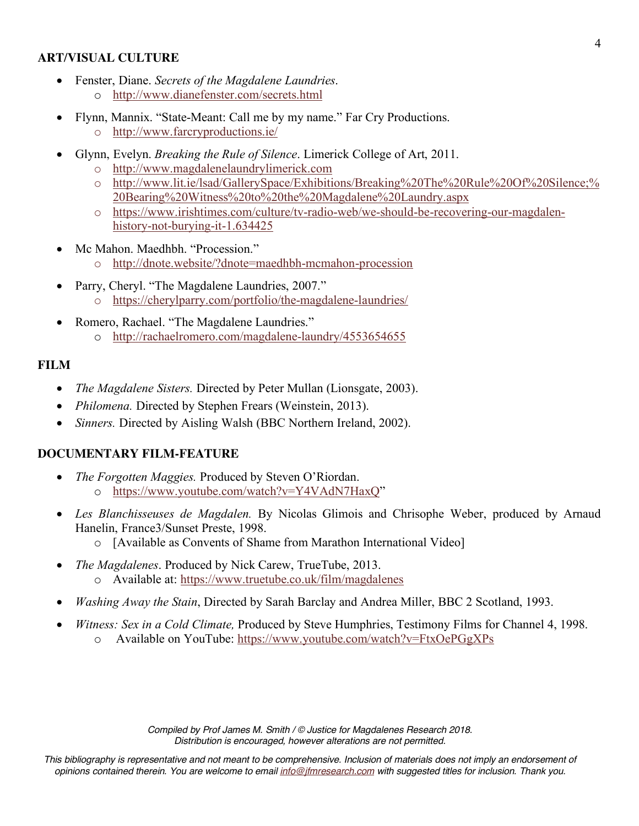#### **ART/VISUAL CULTURE**

- Fenster, Diane. *Secrets of the Magdalene Laundries*. o http://www.dianefenster.com/secrets.html
- Flynn, Mannix. "State-Meant: Call me by my name." Far Cry Productions.
	- o http://www.farcryproductions.ie/
- Glynn, Evelyn. *Breaking the Rule of Silence*. Limerick College of Art, 2011.
	- o http://www.magdalenelaundrylimerick.com
	- o http://www.lit.ie/lsad/GallerySpace/Exhibitions/Breaking%20The%20Rule%20Of%20Silence;% 20Bearing%20Witness%20to%20the%20Magdalene%20Laundry.aspx
	- o https://www.irishtimes.com/culture/tv-radio-web/we-should-be-recovering-our-magdalenhistory-not-burying-it-1.634425
- Mc Mahon. Maedhbh. "Procession."
	- o http://dnote.website/?dnote=maedhbh-mcmahon-procession
- Parry, Cheryl. "The Magdalene Laundries, 2007."
	- o https://cherylparry.com/portfolio/the-magdalene-laundries/
- Romero, Rachael. "The Magdalene Laundries."
	- o http://rachaelromero.com/magdalene-laundry/4553654655

#### **FILM**

- *The Magdalene Sisters.* Directed by Peter Mullan (Lionsgate, 2003).
- *Philomena.* Directed by Stephen Frears (Weinstein, 2013).
- *Sinners.* Directed by Aisling Walsh (BBC Northern Ireland, 2002).

# **DOCUMENTARY FILM-FEATURE**

- *The Forgotten Maggies.* Produced by Steven O'Riordan. o https://www.youtube.com/watch?v=Y4VAdN7HaxQ"
- *Les Blanchisseuses de Magdalen.* By Nicolas Glimois and Chrisophe Weber, produced by Arnaud Hanelin, France3/Sunset Preste, 1998.
	- o [Available as Convents of Shame from Marathon International Video]
- *The Magdalenes*. Produced by Nick Carew, TrueTube, 2013. o Available at: https://www.truetube.co.uk/film/magdalenes
- *Washing Away the Stain*, Directed by Sarah Barclay and Andrea Miller, BBC 2 Scotland, 1993.
- *Witness: Sex in a Cold Climate,* Produced by Steve Humphries, Testimony Films for Channel 4, 1998. o Available on YouTube: https://www.youtube.com/watch?v=FtxOePGgXPs

*Compiled by Prof James M. Smith / © Justice for Magdalenes Research 2018. Distribution is encouraged, however alterations are not permitted.*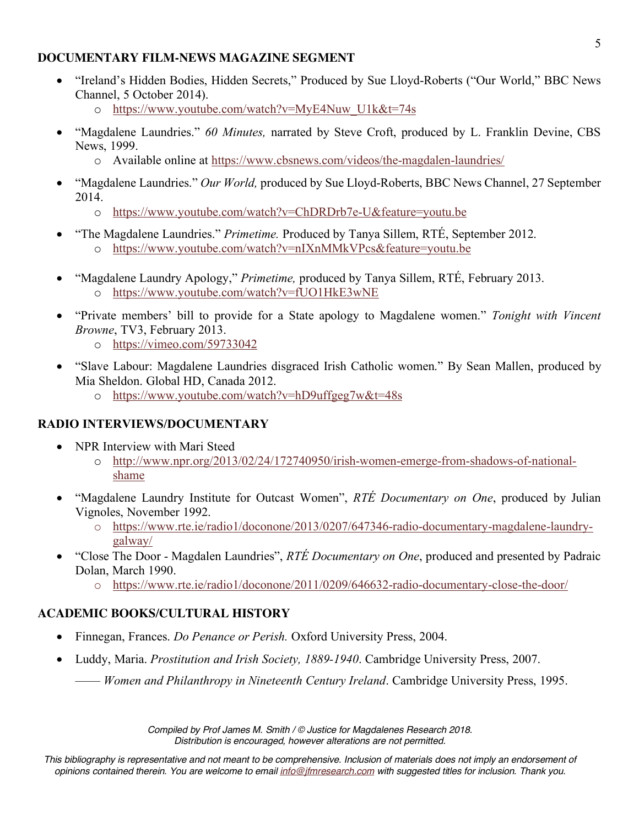#### **DOCUMENTARY FILM-NEWS MAGAZINE SEGMENT**

- "Ireland's Hidden Bodies, Hidden Secrets," Produced by Sue Lloyd-Roberts ("Our World," BBC News Channel, 5 October 2014).
	- o https://www.youtube.com/watch?v=MyE4Nuw\_U1k&t=74s
- "Magdalene Laundries." *60 Minutes,* narrated by Steve Croft, produced by L. Franklin Devine, CBS News, 1999.
	- o Available online at https://www.cbsnews.com/videos/the-magdalen-laundries/
- "Magdalene Laundries." *Our World,* produced by Sue Lloyd-Roberts, BBC News Channel, 27 September 2014.
	- o https://www.youtube.com/watch?v=ChDRDrb7e-U&feature=youtu.be
- "The Magdalene Laundries." *Primetime.* Produced by Tanya Sillem, RTÉ, September 2012. o https://www.youtube.com/watch?v=nIXnMMkVPcs&feature=youtu.be
- "Magdalene Laundry Apology," *Primetime,* produced by Tanya Sillem, RTÉ, February 2013. o https://www.youtube.com/watch?v=fUO1HkE3wNE
- "Private members' bill to provide for a State apology to Magdalene women." *Tonight with Vincent Browne*, TV3, February 2013.
	- o https://vimeo.com/59733042
- "Slave Labour: Magdalene Laundries disgraced Irish Catholic women." By Sean Mallen, produced by Mia Sheldon. Global HD, Canada 2012.
	- o https://www.youtube.com/watch?v=hD9uffgeg7w&t=48s

#### **RADIO INTERVIEWS/DOCUMENTARY**

- NPR Interview with Mari Steed
	- o http://www.npr.org/2013/02/24/172740950/irish-women-emerge-from-shadows-of-nationalshame
- "Magdalene Laundry Institute for Outcast Women", *RTÉ Documentary on One*, produced by Julian Vignoles, November 1992.
	- o https://www.rte.ie/radio1/doconone/2013/0207/647346-radio-documentary-magdalene-laundrygalway/
- "Close The Door Magdalen Laundries", *RTÉ Documentary on One*, produced and presented by Padraic Dolan, March 1990.
	- o https://www.rte.ie/radio1/doconone/2011/0209/646632-radio-documentary-close-the-door/

# **ACADEMIC BOOKS/CULTURAL HISTORY**

- Finnegan, Frances. *Do Penance or Perish.* Oxford University Press, 2004.
- Luddy, Maria. *Prostitution and Irish Society, 1889-1940*. Cambridge University Press, 2007.

—— *Women and Philanthropy in Nineteenth Century Ireland*. Cambridge University Press, 1995.

*Compiled by Prof James M. Smith / © Justice for Magdalenes Research 2018. Distribution is encouraged, however alterations are not permitted.*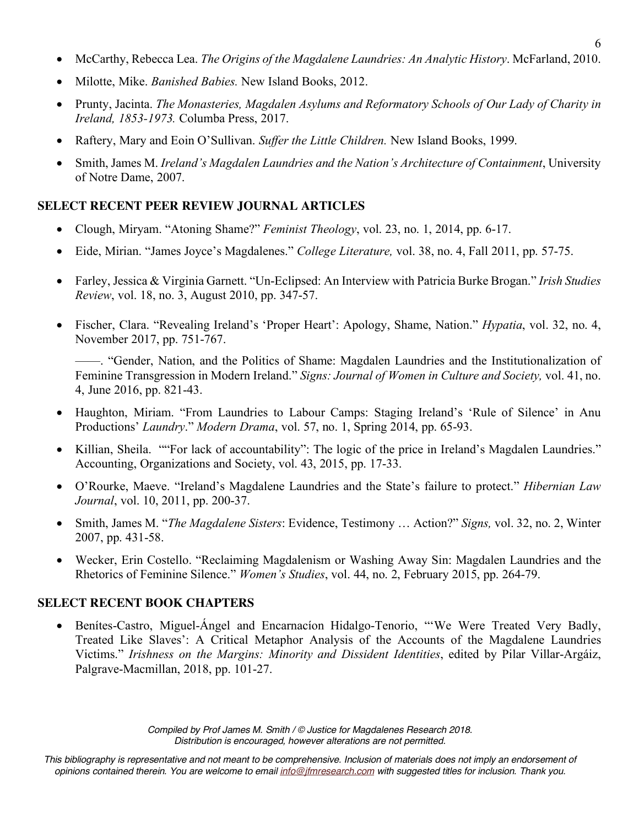- McCarthy, Rebecca Lea. *The Origins of the Magdalene Laundries: An Analytic History*. McFarland, 2010.
- Milotte, Mike. *Banished Babies.* New Island Books, 2012.
- Prunty, Jacinta. *The Monasteries, Magdalen Asylums and Reformatory Schools of Our Lady of Charity in Ireland, 1853-1973.* Columba Press, 2017.
- Raftery, Mary and Eoin O'Sullivan. *Suffer the Little Children.* New Island Books, 1999.
- Smith, James M. *Ireland's Magdalen Laundries and the Nation's Architecture of Containment*, University of Notre Dame, 2007.

#### **SELECT RECENT PEER REVIEW JOURNAL ARTICLES**

- Clough, Miryam. "Atoning Shame?" *Feminist Theology*, vol. 23, no. 1, 2014, pp. 6-17.
- Eide, Mirian. "James Joyce's Magdalenes." *College Literature,* vol. 38, no. 4, Fall 2011, pp. 57-75.
- Farley, Jessica & Virginia Garnett. "Un-Eclipsed: An Interview with Patricia Burke Brogan." *Irish Studies Review*, vol. 18, no. 3, August 2010, pp. 347-57.
- Fischer, Clara. "Revealing Ireland's 'Proper Heart': Apology, Shame, Nation." *Hypatia*, vol. 32, no. 4, November 2017, pp. 751-767.

——. "Gender, Nation, and the Politics of Shame: Magdalen Laundries and the Institutionalization of Feminine Transgression in Modern Ireland." *Signs: Journal of Women in Culture and Society,* vol. 41, no. 4, June 2016, pp. 821-43.

- Haughton, Miriam. "From Laundries to Labour Camps: Staging Ireland's 'Rule of Silence' in Anu Productions' *Laundry*." *Modern Drama*, vol. 57, no. 1, Spring 2014, pp. 65-93.
- Killian, Sheila. ""For lack of accountability": The logic of the price in Ireland's Magdalen Laundries." Accounting, Organizations and Society, vol. 43, 2015, pp. 17-33.
- O'Rourke, Maeve. "Ireland's Magdalene Laundries and the State's failure to protect." *Hibernian Law Journal*, vol. 10, 2011, pp. 200-37.
- Smith, James M. "*The Magdalene Sisters*: Evidence, Testimony … Action?" *Signs,* vol. 32, no. 2, Winter 2007, pp. 431-58.
- Wecker, Erin Costello. "Reclaiming Magdalenism or Washing Away Sin: Magdalen Laundries and the Rhetorics of Feminine Silence." *Women's Studies*, vol. 44, no. 2, February 2015, pp. 264-79.

#### **SELECT RECENT BOOK CHAPTERS**

• Benítes-Castro, Miguel-Ángel and Encarnacion Hidalgo-Tenorio, "We Were Treated Very Badly, Treated Like Slaves': A Critical Metaphor Analysis of the Accounts of the Magdalene Laundries Victims." *Irishness on the Margins: Minority and Dissident Identities*, edited by Pilar Villar-Argáiz, Palgrave-Macmillan, 2018, pp. 101-27.

> *Compiled by Prof James M. Smith / © Justice for Magdalenes Research 2018. Distribution is encouraged, however alterations are not permitted.*